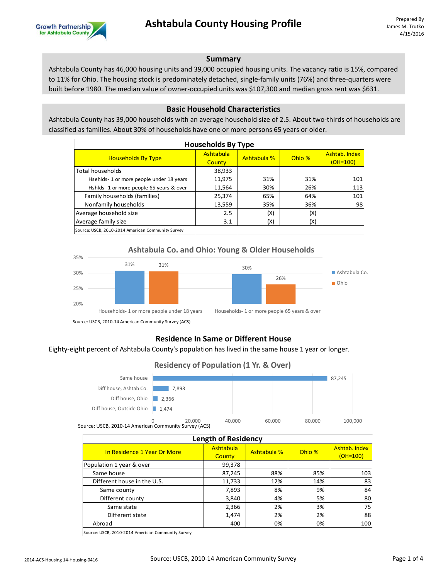

# **Summary**

Ashtabula County has 46,000 housing units and 39,000 occupied housing units. The vacancy ratio is 15%, compared to 11% for Ohio. The housing stock is predominately detached, single-family units (76%) and three-quarters were built before 1980. The median value of owner-occupied units was \$107,300 and median gross rent was \$631.

#### **Basic Household Characteristics**

Ashtabula County has 39,000 households with an average household size of 2.5. About two-thirds of households are classified as families. About 30% of households have one or more persons 65 years or older.

| <b>Households By Type</b>                         |                     |             |        |                             |  |
|---------------------------------------------------|---------------------|-------------|--------|-----------------------------|--|
| <b>Households By Type</b>                         | Ashtabula<br>County | Ashtabula % | Ohio % | Ashtab, Index<br>$(OH=100)$ |  |
| <b>Total households</b>                           | 38,933              |             |        |                             |  |
| Hsehlds-1 or more people under 18 years           | 11,975              | 31%         | 31%    | 101                         |  |
| Hshlds-1 or more people 65 years & over           | 11,564              | 30%         | 26%    | 113                         |  |
| Family households (families)                      | 25,374              | 65%         | 64%    | 101                         |  |
| Nonfamily households                              | 13,559              | 35%         | 36%    | 98                          |  |
| Average household size                            | 2.5                 | (X)         | (X)    |                             |  |
| Average family size                               | 3.1                 | (X)         | (X)    |                             |  |
| Source: USCB, 2010-2014 American Community Survey |                     |             |        |                             |  |



# **Residence In Same or Different House**

Eighty-eight percent of Ashtabula County's population has lived in the same house 1 year or longer.

# **Residency of Population (1 Yr. & Over)**



Source: USCB, 2010-14 American Community Survey (ACS)

| <b>Length of Residency</b>                        |                     |             |        |                             |  |  |
|---------------------------------------------------|---------------------|-------------|--------|-----------------------------|--|--|
| In Residence 1 Year Or More                       | Ashtabula<br>County | Ashtabula % | Ohio % | Ashtab. Index<br>$(OH=100)$ |  |  |
| Population 1 year & over                          | 99,378              |             |        |                             |  |  |
| Same house                                        | 87,245              | 88%         | 85%    | 103                         |  |  |
| Different house in the U.S.                       | 11,733              | 12%         | 14%    | 83                          |  |  |
| Same county                                       | 7,893               | 8%          | 9%     | 84                          |  |  |
| Different county                                  | 3,840               | 4%          | 5%     | 80                          |  |  |
| Same state                                        | 2,366               | 2%          | 3%     | 75                          |  |  |
| Different state                                   | 1,474               | 2%          | 2%     | 88                          |  |  |
| Abroad                                            | 400                 | 0%          | 0%     | 100                         |  |  |
| Source: USCB, 2010-2014 American Community Survey |                     |             |        |                             |  |  |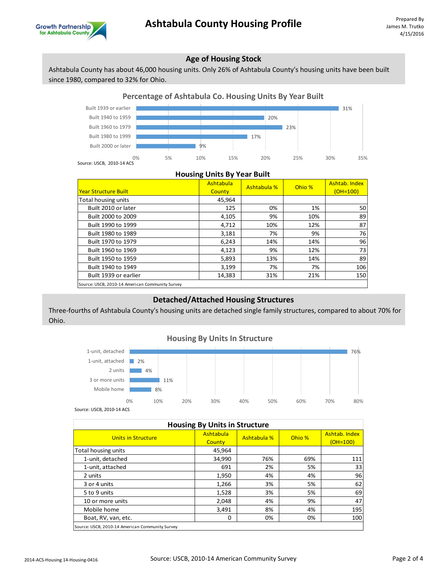

# **Age of Housing Stock**

Ashtabula County has about 46,000 housing units. Only 26% of Ashtabula County's housing units have been built since 1980, compared to 32% for Ohio.

# **Percentage of Ashtabula Co. Housing Units By Year Built**



#### **Housing Units By Year Built**

| <b>Year Structure Built</b>                     | Ashtabula<br>County | Ashtabula % | Ohio % | Ashtab. Index<br>$(OH=100)$ |
|-------------------------------------------------|---------------------|-------------|--------|-----------------------------|
| Total housing units                             | 45,964              |             |        |                             |
| Built 2010 or later                             | 125                 | 0%          | 1%     | 50                          |
| Built 2000 to 2009                              | 4,105               | 9%          | 10%    | 89                          |
| Built 1990 to 1999                              | 4,712               | 10%         | 12%    | 87                          |
| Built 1980 to 1989                              | 3,181               | 7%          | 9%     | 76                          |
| Built 1970 to 1979                              | 6,243               | 14%         | 14%    | 96                          |
| Built 1960 to 1969                              | 4,123               | 9%          | 12%    | 73                          |
| Built 1950 to 1959                              | 5,893               | 13%         | 14%    | 89                          |
| Built 1940 to 1949                              | 3,199               | 7%          | 7%     | 106                         |
| Built 1939 or earlier                           | 14,383              | 31%         | 21%    | 150                         |
| Source: USCB, 2010-14 American Community Survey |                     |             |        |                             |

# **Detached/Attached Housing Structures**

Three-fourths of Ashtabula County's housing units are detached single family structures, compared to about 70% for Ohio.

# **Housing By Units In Structure**



Source: USCB, 2010-14 ACS

| <b>Housing By Units in Structure</b>            |                     |             |        |                           |  |
|-------------------------------------------------|---------------------|-------------|--------|---------------------------|--|
| Units in Structure                              | Ashtabula<br>County | Ashtabula % | Ohio % | Ashtab, Index<br>(OH=100) |  |
| Total housing units                             | 45,964              |             |        |                           |  |
| 1-unit, detached                                | 34,990              | 76%         | 69%    | 111                       |  |
| 1-unit, attached                                | 691                 | 2%          | 5%     | 33                        |  |
| 2 units                                         | 1,950               | 4%          | 4%     | 96                        |  |
| 3 or 4 units                                    | 1,266               | 3%          | 5%     | 62                        |  |
| 5 to 9 units                                    | 1,528               | 3%          | 5%     | 69                        |  |
| 10 or more units                                | 2,048               | 4%          | 9%     | 47                        |  |
| Mobile home                                     | 3,491               | 8%          | 4%     | 195                       |  |
| Boat, RV, van, etc.                             | 0                   | 0%          | 0%     | 100                       |  |
| Source: USCB, 2010-14 American Community Survey |                     |             |        |                           |  |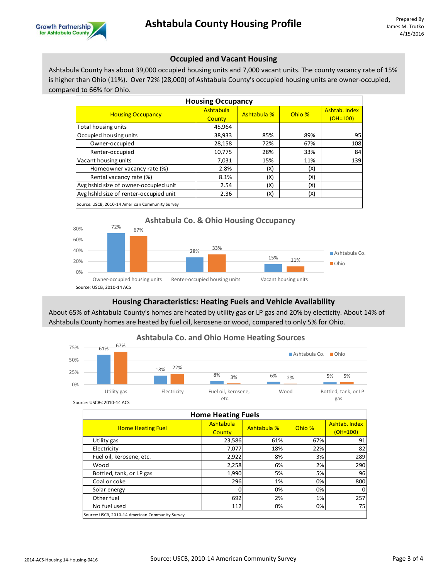

# **Occupied and Vacant Housing**

Ashtabula County has about 39,000 occupied housing units and 7,000 vacant units. The county vacancy rate of 15% is higher than Ohio (11%). Over 72% (28,000) of Ashtabula County's occupied housing units are owner-occupied, compared to 66% for Ohio.

| <b>Housing Occupancy</b>               |           |             |        |               |
|----------------------------------------|-----------|-------------|--------|---------------|
| <b>Housing Occupancy</b>               | Ashtabula | Ashtabula % | Ohio % | Ashtab. Index |
|                                        | County    |             |        | $(OH=100)$    |
| Total housing units                    | 45,964    |             |        |               |
| Occupied housing units                 | 38,933    | 85%         | 89%    | 95            |
| Owner-occupied                         | 28,158    | 72%         | 67%    | 108           |
| Renter-occupied                        | 10,775    | 28%         | 33%    | 84            |
| Vacant housing units                   | 7,031     | 15%         | 11%    | 139           |
| Homeowner vacancy rate (%)             | 2.8%      | (X)         | (X)    |               |
| Rental vacancy rate (%)                | 8.1%      | (X)         | (X)    |               |
| Avg hshld size of owner-occupied unit  | 2.54      | (X)         | (X)    |               |
| Avg hshld size of renter-occupied unit | 2.36      | (X)         | (X)    |               |
| $\cdots$                               |           |             |        |               |

Source: USCB, 2010-14 American Community Survey



# **Housing Characteristics: Heating Fuels and Vehicle Availability**

About 65% of Ashtabula County's homes are heated by utility gas or LP gas and 20% by electicity. About 14% of Ashtabula County homes are heated by fuel oil, kerosene or wood, compared to only 5% for Ohio.

# **Ashtabula Co. and Ohio Home Heating Sources**



Source: USCB< 2010-14 ACS

|                          | <b>Home Heating Fuels</b> |             |        |                             |  |
|--------------------------|---------------------------|-------------|--------|-----------------------------|--|
| <b>Home Heating Fuel</b> | Ashtabula<br>County       | Ashtabula % | Ohio % | Ashtab. Index<br>$(OH=100)$ |  |
| Utility gas              | 23,586                    | 61%         | 67%    | 91                          |  |
| Electricity              | 7,077                     | 18%         | 22%    | 82                          |  |
| Fuel oil, kerosene, etc. | 2,922                     | 8%          | 3%     | 289                         |  |
| Wood                     | 2,258                     | 6%          | 2%     | 290                         |  |
| Bottled, tank, or LP gas | 1,990                     | 5%          | 5%     | 96                          |  |
| Coal or coke             | 296                       | 1%          | 0%     | 800                         |  |
| Solar energy             | ი                         | 0%          | 0%     |                             |  |
| Other fuel               | 692                       | 2%          | 1%     | 257                         |  |
| No fuel used             | 112                       | 0%          | 0%     | 75                          |  |